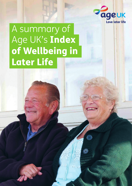

# A summary of Age UK's Index of Wellbeing in Later Life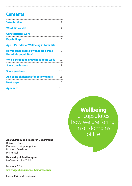# **Contents**

| <b>Introduction</b>                                             | 3  |
|-----------------------------------------------------------------|----|
| What did we do?                                                 | 4  |
| <b>Our statistical work</b>                                     | 4  |
| <b>Key findings</b>                                             | 5  |
| <b>Age UK's Index of Wellbeing in Later Life</b>                | 8  |
| How is older people's wellbeing across<br>the whole population? | 9  |
| Who is struggling and who is doing well?                        | 10 |
| <b>Some conclusions</b>                                         | 12 |
| <b>Some questions</b>                                           | 13 |
| And some challenges for policymakers                            | 13 |
| <b>Next steps</b>                                               | 14 |
| <b>Appendix</b>                                                 | 15 |

# Wellbeing encapsulates how we are faring, in all domains of life

#### Age UK Policy and Research Department

Dr Marcus Green Professor José Iparraguirre Dr Susan Davidson Phil Rossall

University of Southampton Professor Asghar Zaidi

February 2017

www.ageuk.org.uk/wellbeingresearch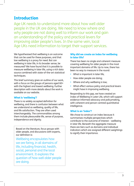# Introduction

Age UK needs to understand more about how well older people in the UK are doing. We need to know where and why people are not doing well to inform our work and gain an understanding of the policy and practical levers for improving older people's lives. In the same vein, local Age UKs need information to target their support services.

We hypothesised that wellbeing is an outcome that can be used for these purposes, and that low wellbeing is a proxy for need. But can wellbeing in later life, in its broader sense, be measured? We have found that it is possible to measure wellbeing in later life, using a rich data source combined with state-of-the-art statistical techniques.

This brief summary gives an outline of our work, with a focus on the groups of persons aged 60+ with the highest and lowest wellbeing. Further description with more details about the work is available on our website.

#### What is 'wellbeing'?

There is no widely accepted definition for wellbeing, and there is confusion between what we understand as wellbeing, quality of life, and life satisfaction. They are often used interchangeably. The commonalities among them include pleasurable life, sense of purpose, independence and dignity.

Based on the literature, focus groups with older people, and discussions with experts, our definition is:

Wellbeing encapsulates how we are faring, in all domains of life, including financial, health, social, personal and the local environment. It explores the question of how well older people are doing.

#### Why did we create an index for wellbeing in later life?

There has been no single and coherent measure covering wellbeing for older people in the most important domains of life. Up to now, there has been no way to measure in the round:

- What is important in later life;
- How older people are doing;
- Where and why wellbeing is low;
- What effect various policy and practical levers might have in improving wellbeing.

Responding to this gap, we have created an Index of Wellbeing in Later Life, which will support evidence-informed advocacy and policymaking, with coherent and person-centred quantitative intelligence.

#### What is an 'index'?

We chose to construct an index because it summarises multiple perspectives which contribute to the outcome of interest – wellbeing in later life. Beneath the aggregate measure there are tiers such as domains and individual indicators which are assigned different weightings to signify their importance.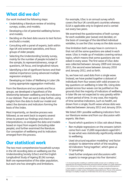# <span id="page-3-0"></span>What did we do?

Our work involved the following steps:

- Undertaking a literature review of existing surveys, scales, and models;
- Developing a list of potential wellbeing factors and models;
- Deciding on the best data source to test factors and build a model;
- Consulting with a panel of experts, both within Age UK and external specialists, and focus groups of older people;
- Selecting the Understanding Society survey, mainly for the number of people included in the sample, its representativeness, range of questions, UK focus, and longitudinal nature;
- Identifying a list of significant factors and their relative importance (using advanced multiple regression analysis);
- Developing an Index of Wellbeing in Later Life (using appropriate aggregation methods).

From the literature and our panels and focus groups, we developed a hypothesis of the relationship between wellbeing and the indicators in our dataset. Then we went a step further, using insights from the data to build our model and select the domains and indicators forming the basis of the Index.

Most importantly, an iterative process was followed, as we went back to experts several times to present our findings and check on interpretations, re-analysed the data and models based on input from experts (including older people), and further examined the literature. Our conception of wellbeing and its indicators emerged from this process.

# Our statistical work

The two most comprehensive household surveys in the UK recording data on wellbeing are the Understanding Society (USoc) and the English Longitudinal Study of Ageing (ELSA) surveys. Both are representative of the older population, but each one has strengths and limitations.

For example, USoc is an annual survey which covers the four UK constituent countries whereas ELSA is applicable only to England and is carried out every two years.

We examined the questionnaires of both surveys for each available year (wave) and decided, on the basis of coverage of the identified individual variables, to use the USoc survey as the data source.

One limitation both surveys have in common is that not all the same questions are asked in each wave. USoc is made up of modules covering various topics, which means that some questions are not asked in every wave. The first wave of USoc data was collected between January 2009 and January 2011, the second wave between January 2010 and January 2012, and so forth.

So, we have not used data from a single wave. Instead, we have pooled together a dataset of individuals from four waves with valid answers to key questions on wellbeing in later life. Using data pooled across four waves can be justified on the grounds that the majority of indicators of wellbeing in later life are not expected to vary greatly within a short period of time. In any case, the majority of time sensitive indicators, such as health, are drawn from a single, fourth wave whose data was collected between January 2012 and January 2014.

We listed 200+ possible wellbeing indicators from our literature review and from our discussion with experts. We then:

- Found which questions in USoc ask about these;
- Ran multiple regressions on the answers (which came from over 15,000 respondents aged 60+) to see what was statistically significantly related to wellbeing;
- Used structural equation modelling<sup>1</sup> and factor analysis<sup>2</sup> to determine which of the resulting 40 indicators 'hang together', which gave us 12 groupings;
- Used further analyses and discussions with experts to merge groups into five 'domains'.

1. In structural equation modelling an undefined variable concept such as 'wellbeing' can be measured from the statistical relationships among the indicator variables. For a fuller explanation of this method and our findings, see our online report at www.ageuk.org.uk/wellbeingresearch 2. Factor analysis is a method for investigating whether a number of variables of interest are

linearly related to a smaller number of composite unobservable factors. The aim of this statistical technique is to simplify a complex set of information into one or two summary measures.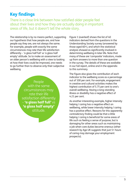# <span id="page-4-0"></span>Key findings

There is a close link between how satisfied older people feel about their lives and how they are actually doing in important areas of life, but it doesn't tell the whole story.

The relationship is by no means perfect, supporting our hypothesis that how people are, and how people say they are, are not always the same. For example, people with exactly the same circumstances may rate their life satisfaction differently – 'a glass half full' vs 'a glass half empty' attitude. So to make an assessment of an older person's wellbeing with a view to looking at how their lives could be improved, one needs to go further than to observe only their subjective wellbeing.

> People with the same circumstances may rate their life satisfaction differently – 'a glass half full' vs 'a glass half empty' attitude.

Figure 1 (overleaf) shows the list of 40 *indicators* derived from the questions in the Understanding Society survey (answered by those aged 60+), and which the statistical analysis showed as significantly involved in determining wellbeing in later life. Note that many of these are 'composite' indicators, made up from answers to more than one question in the survey. The details of these are available in our full report, online and in the appendix to this summary.

The Figure also gives the contribution of each indicator to the wellbeing score as a percentage out of 100 per cent. For example, engagement in creative and cultural activities makes the highest contribution of 5.75 per cent to one's overall wellbeing. Having a long-standing illness or disability has a negative effect of 4.21 per cent.

As another interesting example, higher intensity helping / caring has a negative effect on wellbeing, while lower intensity helping / caring has a positive effect. Reasons for this apparently contradictory finding could be that a little helping / caring is beneficial for some areas of life such as feeling a sense of purpose, but is damaging for other areas such as maintaining a job when care duties become onerous (other research by Age UK suggests that just 5+ hours of caring may damage your employment prospects).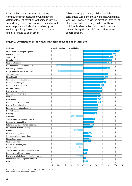Figure 1 illustrates that there are many contributing indicators, all of which have a different level of effect on wellbeing in later life. Importantly, each contribution is the individual effect a particular indicator has directly on wellbeing, taking into account that indicators are also related to each other.

Take for example 'having children', which contributes 0.16 per cent to wellbeing, which may look low. However, this is the *direct* positive effect of having children. Having children will have additional *indirect* effects on other indicators such as 'living with people', and various forms of participation.

#### Figure 1: Contribution of individual indicators to wellbeing in later life

| <b>Indicator</b>                              |       |         |       | <b>Overall contribution to wellbeing</b> |         |       |       |       |       |          |      |
|-----------------------------------------------|-------|---------|-------|------------------------------------------|---------|-------|-------|-------|-------|----------|------|
| Creative and cultural participation           |       |         |       |                                          |         |       |       |       |       |          | 5.75 |
| Physical activities                           |       |         |       |                                          |         |       |       |       |       | 5.12     |      |
| Thinking skills                               |       |         |       |                                          |         |       |       |       |       | 4.61     |      |
| Mental wellbeing                              |       |         |       |                                          |         |       |       |       |       | 4.50     |      |
| Level of education                            |       |         |       |                                          |         |       |       |       |       | 4.39     |      |
| Has diagnosed health condition(s)             |       | -4.21   |       |                                          |         |       |       |       |       |          |      |
| Personality / Openness                        |       |         |       |                                          |         |       |       |       | 4.19  |          |      |
| Long-standing illness or disability           |       | $-4.00$ |       |                                          |         |       |       |       |       |          |      |
| Social participation                          |       |         |       |                                          |         |       |       |       | 3.86  |          |      |
| Mental health                                 |       |         |       |                                          |         |       |       |       | 3.86  |          |      |
| Personality / Conscientiousness               |       |         |       |                                          |         |       |       |       | 3.58  |          |      |
| Home owned outright                           |       |         |       |                                          |         |       |       |       | 3.46  |          |      |
| No means-tested benefits                      |       |         |       |                                          |         |       |       | 3.21  |       |          |      |
| Civic participation                           |       |         |       |                                          |         |       |       | 2.95  |       |          |      |
| Level of pension income                       |       |         |       |                                          |         |       |       | 2.90  |       |          |      |
| Personality / Extraversion                    |       |         |       |                                          |         |       |       | 2.79  |       |          |      |
| Married                                       |       |         |       |                                          |         |       |       | 2.78  |       |          |      |
| Have friends                                  |       |         |       |                                          |         |       |       | 2.78  |       |          |      |
| Neighbourliness of local area                 |       |         |       |                                          |         |       |       | 2.71  |       |          |      |
| Level of financial wealth                     |       |         |       |                                          |         |       |       | 2.34  |       |          |      |
| Personality / Emotional stability             |       |         |       |                                          |         |       | 2.31  |       |       |          |      |
| Live with people                              |       |         |       |                                          |         |       |       | 2.30  |       |          |      |
| Working                                       |       |         |       |                                          |         |       | 2.07  |       |       |          |      |
| Widowed                                       |       |         |       |                                          | $-1.89$ |       |       |       |       |          |      |
| Satisfaction with local leisure services      |       |         |       |                                          |         |       | 1.76  |       |       |          |      |
| Personality / Agreeableness                   |       |         |       |                                          |         |       | 1.68  |       |       |          |      |
| Satisfaction with local medical services      |       |         |       |                                          |         |       | 1.64  |       |       |          |      |
| Low intensity helping / caring                |       |         |       |                                          |         |       | 1.57  |       |       |          |      |
| Divorced                                      |       |         |       |                                          | $-1.50$ |       |       |       |       |          |      |
| Level of housing wealth                       |       |         |       |                                          |         |       | 1.40  |       |       |          |      |
| Intergenerational connections                 |       |         |       |                                          |         |       | 1.39  |       |       |          |      |
| Material resources                            |       |         |       |                                          |         |       | 1.23  |       |       |          |      |
| Level of earnings                             |       |         |       |                                          |         | 1.15  |       |       |       |          |      |
| Not looking after anyone                      |       |         |       |                                          | $-1.10$ |       |       |       |       |          |      |
| Financial debt                                |       |         |       |                                          | $-0.71$ |       |       |       |       |          |      |
| Satisfaction with local shopping facilities   |       |         |       |                                          |         | 0.71  |       |       |       |          |      |
| Home owner with a mortgage                    |       |         |       |                                          |         | 0.60  |       |       |       |          |      |
| Higher intensity helping / caring (20+ hours) |       |         |       |                                          | $-0.48$ |       |       |       |       |          |      |
| Satisfaction with local public transport      |       |         |       |                                          |         | 0.38: |       |       |       |          |      |
| Have children                                 |       |         |       |                                          |         | 0.16  |       |       |       |          |      |
|                                               | $-5%$ | $-4%$   | $-3%$ | $-2%$                                    | $-1%$   | $0\%$ | $1\%$ | $2\%$ | $3\%$ | 4%<br>5% | 6%   |

Further details about the indicators will be in our full report, and definitions including examples from USoc are online and in the appendix.

.............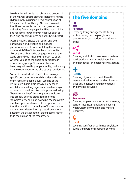So what this tells us is that above and beyond all of the *indirect* effects on other indicators, having children makes a unique, *direct* contribution of 0.16 per cent to wellbeing. Also keep in mind that these per cents are the *average* effect on wellbeing; for some people it will be much higher, and for some, lower (or even negative such as the 'Long-standing illness or disability' indicator).

Overall, Figure 1 shows that social and civic participation and creative and cultural participation are all important, together making up almost 1/8th of total wellbeing in later life. This suggests that active engagement with the world around you is hugely important to us all, whether you go to the opera or participate in a community group. Other indicators such as being in good health, your personality, and having a large social network are also strong contributors.

Some of these individual indicators are very specific and others are much broader and cover many facets of people's lives. Looking at the list in Figure 1, it is difficult to make sense of which factors belong together when deciding on actions that could be taken to improve wellbeing. Therefore, it is helpful to group these indicators into broadly defined areas (referred to as 'domains') depending on how alike the indicators are. An important element of our approach is that the selection of groupings of indicators into domains was determined by a statistical model based on the actual data of older people, rather than the opinion of the researchers.

# The five domains



#### Personal

Covering living arrangements, family status, caring and helping, intergenerational connections, and thinking skills;

#### Social

Covering social, civic, creative and cultural participation as well as neighbourliness and friendships, and personality attributes;

#### **Health** Covering physical and mental health, mental wellbeing, long-standing illness or

disability, diagnosed health conditions, and physical activities;

# n 53

#### Resources

Covering employment status and earnings, pension income, financial and housing wealth, home ownership, and material resources;

# Local

Covering satisfaction with medical, leisure, public transport and shopping services.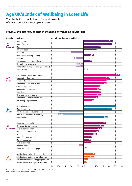# <span id="page-7-0"></span>Age UK's Index of Wellbeing in Later Life

The distribution of individual indicators into each of the five domains makes up our Index.

#### Figure 2: Indicators by domain in the Index of Wellbeing in Later Life

| <b>Domain</b>     | <b>Indicator</b>                              |       |         | <b>Overall contribution to wellbeing</b> |         |         |        |      |      |      |      |      |    |
|-------------------|-----------------------------------------------|-------|---------|------------------------------------------|---------|---------|--------|------|------|------|------|------|----|
|                   | Thinking skills                               |       |         |                                          |         |         |        |      |      |      | 4.61 |      |    |
|                   | Level of education                            |       |         |                                          |         |         |        |      |      |      | 4.39 |      |    |
| Personal          | Married                                       |       |         |                                          |         |         |        |      | 2.78 |      |      |      |    |
|                   | Live with people                              |       |         |                                          |         |         |        |      | 2.30 |      |      |      |    |
|                   | Widowed                                       |       |         |                                          | $-1.89$ |         |        |      |      |      |      |      |    |
|                   | Low intensity helping / caring                |       |         |                                          |         |         |        | 1.57 |      |      |      |      |    |
|                   | Divorced                                      |       |         |                                          | $-1.50$ |         |        |      |      |      |      |      |    |
|                   | Intergenerational connections                 |       |         |                                          |         |         |        | 1.39 |      |      |      |      |    |
|                   | Not looking after anyone                      |       |         |                                          |         | $-1.10$ |        |      |      |      |      |      |    |
|                   | Higher intensity helping / caring (20+ hours) |       |         |                                          |         | $-0.48$ |        |      |      |      |      |      |    |
|                   | Have children                                 |       |         |                                          |         |         | 0.16   |      |      |      |      |      |    |
|                   | Creative and cultural participation           |       |         |                                          |         |         |        |      |      |      |      | 5.75 |    |
|                   | Personality / Openness                        |       |         |                                          |         |         |        |      |      | 4.19 |      |      |    |
| <b>Social</b>     | Social participation                          |       |         |                                          |         |         |        |      |      | 3.86 |      |      |    |
|                   | Personality / Conscientiousness               |       |         |                                          |         |         |        |      |      | 3.58 |      |      |    |
|                   | Civic participation                           |       |         |                                          |         |         |        |      | 2.95 |      |      |      |    |
|                   | Personality / Extraversion                    |       |         |                                          |         |         |        |      | 2.79 |      |      |      |    |
|                   | Have friends                                  |       |         |                                          |         |         |        |      | 2.78 |      |      |      |    |
|                   | Neighbourliness of local area                 |       |         |                                          |         |         |        |      | 2.71 |      |      |      |    |
|                   | Personality / Emotional stability             |       |         |                                          |         |         |        |      | 2.31 |      |      |      |    |
|                   | Personality / Agreeableness                   |       |         |                                          |         |         |        | 1.68 |      |      |      |      |    |
|                   |                                               |       |         |                                          |         |         |        |      |      |      |      |      |    |
|                   | Physical activities                           |       |         |                                          |         |         |        |      |      |      | 5.12 |      |    |
|                   | Mental wellbeing                              |       |         |                                          |         |         |        |      |      |      | 4.50 |      |    |
| <b>Health</b>     | Has diagnosed health condition(s)             |       | $-4.21$ |                                          |         |         |        |      |      |      |      |      |    |
|                   | Long-standing illness or disability           |       | $-4.00$ |                                          |         |         |        |      |      |      |      |      |    |
|                   | Mental health                                 |       |         |                                          |         |         |        |      |      | 3.86 |      |      |    |
|                   |                                               |       |         |                                          |         |         |        |      |      |      |      |      |    |
|                   | Home owned outright                           |       |         |                                          |         |         |        |      |      | 3.46 |      |      |    |
| 侵                 | No means-tested benefits                      |       |         |                                          |         |         |        |      | 3.21 |      |      |      |    |
| <b>Resources</b>  | Level of pension income                       |       |         |                                          |         |         |        |      | 2.90 |      |      |      |    |
|                   | Level of financial wealth                     |       |         |                                          |         |         |        |      | 2.34 |      |      |      |    |
|                   | Working                                       |       |         |                                          |         |         |        | 2.07 |      |      |      |      |    |
|                   | Level of housing wealth                       |       |         |                                          |         |         |        | 1.40 |      |      |      |      |    |
|                   | Material resources                            |       |         |                                          |         |         | $1.23$ |      |      |      |      |      |    |
|                   | Level of earnings                             |       |         |                                          |         |         | $1.15$ |      |      |      |      |      |    |
|                   | Financial debt                                |       |         |                                          |         | $-0.71$ |        |      |      |      |      |      |    |
|                   | Home owner with a mortgage                    |       |         |                                          |         |         | 0.60   |      |      |      |      |      |    |
|                   |                                               |       |         |                                          |         |         |        |      |      |      |      |      |    |
|                   | Satisfaction with local leisure services      |       |         |                                          |         |         |        | 1.76 |      |      |      |      |    |
| Q<br><b>Local</b> | Satisfaction with local medical services      |       |         |                                          |         |         |        | 1.64 |      |      |      |      |    |
|                   | Satisfaction with local shopping facilities   |       |         |                                          |         |         | 0.71   |      |      |      |      |      |    |
|                   | Satisfaction with local public transport      |       |         |                                          |         |         | 0.38   |      |      |      |      |      |    |
|                   |                                               | $-5%$ | $-4%$   | $-3%$<br>$-2%$                           |         | $-1%$   | $0\%$  | 1%   | 2%   | 3%   | 4%   | 5%   | 6% |

Further details about the indicators will be in our full report, and definitions including examples from USoc are online and in the appendix.

............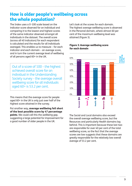## How is older people's wellbeing across the whole population? k<br>Personal

The Index uses a 0-100 scale based on the indicator score observed for an individual and comparing it to the lowest and highest scores of the same indicator observed amongst all individuals in the dataset. The overall score (across all 40 indicators) for each respondent is calculated and the results for all individuals averaged. This enables us to measure – for each indicator and each domain – an average score, and in turn the current average level of wellbeing of all persons aged 60+ in the UK.

Out of a score of 100 – the highest achieved overall score for an individual in the Understanding Society survey – the average overall wellbeing score for all individuals aged 60+ is 53.2 per cent.

This means that the average score for people aged 60+ in the UK is only just over half of the highest score attained in the survey.

Put another way, average wellbeing fell short of the best possible score by 47 percentage points. We could call this the *wellbeing gap*, suggesting a large potential for improvement for a good number of older people in the UK.

 $\frac{1}{1}$ h<br>C Let's look at the scores for each domain. The highest average wellbeing score is observed in the Personal domain, where almost 60 per cent of the maximum wellbeing level was attained (Figure 3).



#### Figure 3: Average wellbeing score for each domain

The Social and Local domains also exceed the overall average wellbeing score, but the Resources and particularly Health domains lag behind. This is important because these last two are responsible for over 40 per cent of the total wellbeing score, so the fact that the average scores are low suggests that these domains are greatly responsible for the relatively low overall average of 53.2 per cent.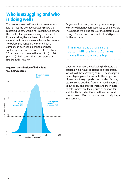# <span id="page-9-0"></span>Who is struggling and who is doing well?

The results shown in Figure 3 are averages and it is not just the average wellbeing score that matters, but how wellbeing is distributed among the whole older population. As you can see from Figure 4 below, the wellbeing of individuals varies significantly above and below the average. To explore this variation, we carried out a comparison between older people whose wellbeing score is in the bottom fifth (bottom 20 per cent) and those in the top fifth (top 20 per cent) of all scores. These two groups are highlighted in Figure 4.

#### Figure 4: Distribution of individual wellbeing scores



As you would expect, the two groups emerge with very different characteristics to one another. The average wellbeing score of the bottom group is only 32.5 per cent, compared with 75.8 per cent for the top group.

This means that those in the bottom fifth are faring 2.3 times worse than those in the top fifth.

Opposite, we show the wellbeing indicators that caused an individual to belong to either group. We will call these *deciding factors*. The *identifiers*  for each group are, for example, the proportion of people in the group who are married, female, etc. For some deciding factors, it may be possible to put policy and practice interventions in place to help improve wellbeing, such as support for social activities; identifiers, on the other hand, cannot be modified but can be used to help target interventions.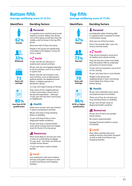### Bottom fifth Average wellbeing score of 32.5%

#### Identifiers Deciding factors

#### **Personal Personal Personal Personal Personal Personal Personal Personal Personal Personal Personal Personal Personal Personal Personal Personal Personal Personal Personal Personal Personal Personal Personal Personal Perso**

In cognitive tests involving word recall, verbal or numeric ability, over 90 per cent of this group scored less than the middle score for those in the top fifth group.

More than half of them live alone.

People in this group are significantly more likely to be helping / caring 20+ hours a week.



Female



average



80% Less than GCSE qualification



#### $\leq$  Social

23 per cent do not take part in creative and cultural activities.

85 per cent are not engaged regularly in social activities, such as at a social or sports club.

80 per cent are not involved in any civic activities, such as belonging to political parties, the Neighbourhood Watch, a religious group or a pensioner's group.

12.5 per cent report having no friends.

Their sense of the 'neighbourliness' in their community is lower than in the general population – although 75 per cent still rate their community as neighbourly.

#### Health

Fewer than one per cent are involved in sports and physical activities.

88 per cent have a long-standing illness or disability.

42 per cent have three or more diagnosed health conditions.

84 per cent have a mental health score which is lower than the middle score for those in the top group.

#### **Resources**

Much more likely to rent (61 per cent) or have an outstanding mortgage (11 per cent) – less than one third are outright home owners.

27 per cent have a means-tested benefit.

### Local

Low satisfaction with local medical services and public transport as well as with local leisure and shopping facilities.

### Top fifth Average wellbeing score of 75.8%

#### Identifiers Deciding factors





70 Years old average

86% GCSE or higher qualification

Considerably higher thinking skills in cognitive tests compared to those in the bottom group.

Only one out of five live alone.

One in five provide help / care, but at less intensive levels.



#### Social

They all are involved in some form of creative and cultural activity.

They are also four times more likely than the bottom fifth to undertake some form of social activity.

55 per cent are involved in some form of civic activity.

95 per cent have two or more friends.

People in this group rate neighbourliness in their community more highly than those in the bottom group.

### Health

90 per cent undertake some sports and physical exercise activities.

Three out of four do not have any long-standing illness or disability.

50 per cent of them have no diagnosed health condition.

#### **I** Resources

85 per cent of them are outright home owners.

No means-tested benefits.

Average financial wealth in excess of £50,000.

### Local

More often satisfied with local medical services and public transport as well as with local leisure and shopping facilities.

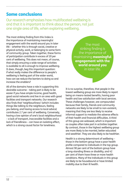# <span id="page-11-0"></span>Some conclusions

Our research emphasises how multifaceted wellbeing is and that it is important to think about the person, not just one single area of life, when exploring wellbeing.

The most striking finding from this Index is the importance of maintaining meaningful engagement with the world around you in later life – whether this is through social, creative or physical activity, work, or belonging to some form of community group. Taken together, these forms of participation contribute in excess of 20 per cent of wellbeing. This does not mean, of course, that simply ensuring a wide range of activities is available to all is enough to improve wellbeing. It does, though, beg this important question: if what really makes the difference to people's wellbeing is feeling part of the wider world, how can we reduce the barriers to doing so and increase the enablers?

All of the domains have a role in supporting this desirable outcome – taking part is likely to be easier if you have ample income, good health, good social networks and live in an area with good facilities and transport networks. Our research also finds that 'neighbourliness' (which includes things like talking to the neighbours, feeling you belong, and having access to local advice) contributes 2.7 per cent of wellbeing. Conversely, having a low opinion of one's local neighbourhood – a lack of transport, inaccessible facilities and a lack of friendliness – can have an isolating effect, which is a strong causal factor for loneliness.

The most striking finding is the importance of maintaining **meaningful** engagement with the world around you in later life.

It is no surprise, therefore, that people in the lowest wellbeing group are more likely to report being on means-tested benefits, having poor health and low satisfaction with local services. These challenges however, are compounded because their family, friends and community networks are likely to be small to non-existent, meaning that they are less likely to receive informal support to mediate the adverse effects of their health and financial difficulties. A third of this group are widowed, which is important as couples often take part in activities together. By contrast, those in the highest wellbeing group are more likely to be married, better educated and wealthier. They are also likely to be healthier.

Health is a strong determinant of wellbeing – those in the bottom group have a poor health profile compared to individuals in the top group. Almost 90 per cent of the bottom group have a long-standing illness or disability, and 42 per cent of them have three or more health conditions. Many of the individuals in this group are likely to be housebound or have limited mobility due to their ill health.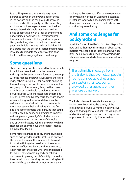<span id="page-12-0"></span>It is striking to note that there is very little difference between the average age of those in the bottom and the top groups that would explain this health disparity. So, the more likely explanation is their experience across the life course; these individuals may have lived in areas of deprivation with a lack of employment opportunities, poor facilities, environmental hazards such as air pollution, and some poor lifestyle choices, which have driven them into poor health. It is a vicious circle as individuals in this group lack the personal, social and financial resources to mitigate the effects of this poor health on their everyday life and wellbeing.

# Some questions

There are many questions raised by this research to which we do not yet have the answers. Although in this summary we focus on the groups with the highest and lowest wellbeing, there are many others to explore – for example analysing the wellbeing score and its determinants for the subgroup of older women, living on their own, with three or more health conditions. Amongst groups like this with characteristics that might be considered disadvantageous, there are people who are doing well, so what determines the resilience of these individuals that has enabled them to preserve their wellbeing? Can we find deciding factors among these groups that could be influenced by policy and practice to improve wellbeing more generally? Our Index can also be used to model the outcome of changing one or two indicators, pointing the way to which changes are likely to have the greatest impact on overall wellbeing.

Some factors cannot be easily changed, if at all, such as age, gender, marital status and previous life course. However, the Index could be used to assist with targeting services at those who are at risk of low wellbeing. And for the future, it can highlight the areas where we might need to invest – for example in good educational outcomes, improving people's ability to save for their pensions and housing, and improving health through lifestyle and environmental conditions.

Looking at this research, life course experiences clearly have an effect on wellbeing outcomes in later life. And so too does personality, with dimensions such as openness and extraversion contributing to wellbeing.

# And some challenges for policymakers

Age UK's Index of Wellbeing in Later Life provides new and authoritative information about what matters most for a good later life and we hope it will help all of us to get closer to achieving it, whoever we are and whatever our circumstances may be.

The optimistic message from the Index is that even older people facing considerable challenges can sustain their wellbeing, provided other aspects of their lives are going well.

The Index also confirms what we already instinctively know: that the quality of the relationships around us matters hugely as we age and that a positive outlook, the willingness and ability to keep active, and a strong sense of purpose all make a big difference too.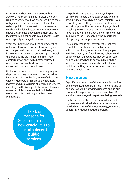<span id="page-13-0"></span>Unfortunately however, it is also true that Age UK's Index of Wellbeing in Later Life gives us a lot to worry about. An overall wellbeing score only just above 50 per cent across the entire older population is a cause for concern – surely we should be doing better – and the Index also shows that the gap between the most and the least favoured older people in our society is vast, unacceptably so in Age UK's view.

What the Index says about the characteristics of the most favoured and least favoured groups of older people in terms of their wellbeing is illuminating, if somewhat depressing: in general, the group at the top is a lot healthier, more comfortably off financially, better educated, more active and involved, and much better connected to others around them.

On the other hand, the least favoured group is disproportionately composed of people on low incomes and in poor health, many of whom are widows. Members of this group are relatively inactive and also big users of local public services, including the NHS and public transport. They are also often highly disconnected, isolated and alone: tragically, one in eight of them have no friends at all.

> message for Government is just how **crucial** it is to sustain decent public services

The policy imperative is to do everything we possibly can to help these older people who are struggling to get much more from their later lives. Preventing and tackling loneliness must be an important part of this and something Age UK will be taking forward through our 'No one should have no one' campaign, but there are many other implications too – for example the importance of improving our support for carers.

The clear message for Government is just how crucial it is to sustain decent public services: without a local bus, for example, older people with little money are forced to stay at home and become cut off, and a drastic lack of social care and hard pressed health services diminish their lives and undermine their resilience to illness and disease. They deserve better and we must do more to help them.

# Next steps

Age UK's interpretation of this work in this area is at an early stage, and there is much more analysis to be done. We will be providing updates and, in due course, a full report will be available on Age UK's website at www.ageuk.org.uk/wellbeingresearch

On this section of the website you will also find a glossary of wellbeing indicator terms, a more detailed summary of the methodology, and more The clear strategy of the clear strategy of the clear strategy of the clear strategy of the clear strategy of the clear strategy of the clear strategy of the clear strategy of the clear strategy of the clear strategy of th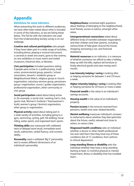# Appendix

#### Definitions for some indicators

When presenting this work to different audiences, we have often been asked about what is included in some of the indicators, so we are listing these below. The full list with the indicators we used from the Understanding Society survey is on our webpage.

Creative and cultural participation asks people if they have taken part in a wide range of activities, including dance, playing a musical instrument, a carnival or street arts event, gone to the cinema, an arts exhibition or music event and visited museums, historical sites, or libraries.

Civic participation included questions asking if people were active in: a political party, trade union, environmental group, parents / school association, tenants / residents group or Neighbourhood Watch, religious group or church organisation, voluntary services group, pensioners group / organisation, scouts / guides organisation, professional organisation, other community or civic group.

Social participation asked about being active in, for example, a social club / working men's club, sports club, Women's Institute / Townswomen's Guild, women's group / feminist organisation, other group or organisation.

Physical activity asked about taking part in a wide variety of activities, including going to a gym, swimming, cycling, golf, hill walking, horse riding, water sports, and organised team sports.

Thinking skills was measured with validated tests of delayed word recall, immediate word recall, subtraction, verbal fluency, and numeric ability.

Personality used a validated 'Big 5' personality test to assess different dimensions of an individual's personality.

Neighbourliness contained eight questions about feelings of belonging to the neighbourhood, local friends, access to advice, amongst other areas.

Intergenerational connections asked about different kinds of transfers between respondents and their children and their parents, including various kinds of help given around the house, shopping, borrowing a car, and financial assistance.

Material resources as an indicator, is a measure of whether someone can afford to take a holiday, keep up with the bills, replace old furniture or faulty electrical goods and save money each month.

Low intensity helping / caring is looking after or helping someone for between 1 and 19 hours a week.

Higher intensity helping / caring is looking after or helping someone for 20 hours or more a week.

Financial wealth is the value in an individual's savings accounts.

Housing wealth is the value of an individual's property.

**Pension income** is the amount received from pensions, health and carer-related benefits.

Mental wellbeing measures individual's answers to statements about whether they feel optimistic about the future, useful, relaxed and close to others, to name a few.

**Diagnosed health conditions** asks an individual whether a doctor or other health professional has ever told them that they have any of these conditions (list of 17 conditions, from asthma to clinical depression).

Long-standing illness or disability asks the individual whether they have a long-standing (lasting at least 12 months) physical or mental impairment, illness or disability that has troubled them.